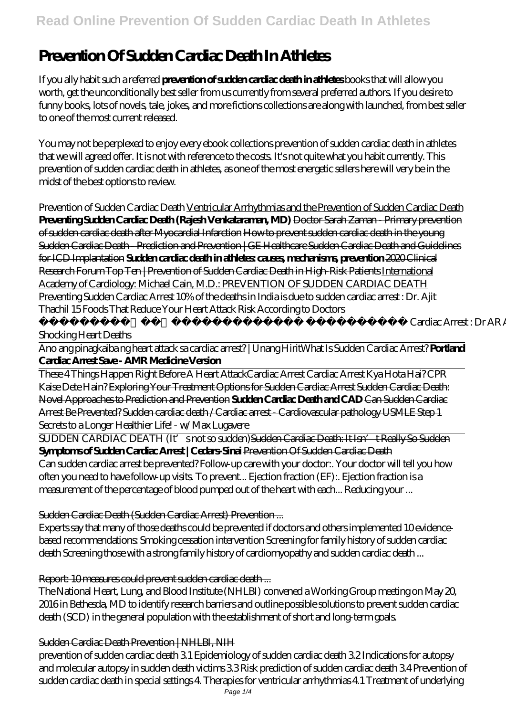## **Read Online Prevention Of Sudden Cardiac Death In Athletes**

# **Prevention Of Sudden Cardiac Death In Athletes**

If you ally habit such a referred **prevention of sudden cardiac death in athletes** books that will allow you worth, get the unconditionally best seller from us currently from several preferred authors. If you desire to funny books, lots of novels, tale, jokes, and more fictions collections are along with launched, from best seller to one of the most current released.

You may not be perplexed to enjoy every ebook collections prevention of sudden cardiac death in athletes that we will agreed offer. It is not with reference to the costs. It's not quite what you habit currently. This prevention of sudden cardiac death in athletes, as one of the most energetic sellers here will very be in the midst of the best options to review.

*Prevention of Sudden Cardiac Death* Ventricular Arrhythmias and the Prevention of Sudden Cardiac Death **Preventing Sudden Cardiac Death (Rajesh Venkataraman, MD)** Doctor Sarah Zaman - Primary prevention of sudden cardiac death after Myocardial Infarction How to prevent sudden cardiac death in the young Sudden Cardiac Death - Prediction and Prevention | GE Healthcare Sudden Cardiac Death and Guidelines for ICD Implantation **Sudden cardiac death in athletes: causes, mechanisms, prevention** 2020 Clinical Research Forum Top Ten | Prevention of Sudden Cardiac Death in High-Risk Patients International Academy of Cardiology: Michael Cain, M.D.: PREVENTION OF SUDDEN CARDIAC DEATH Preventing Sudden Cardiac Arrest *10% of the deaths in India is due to sudden cardiac arrest : Dr. Ajit Thachil 15 Foods That Reduce Your Heart Attack Risk According to Doctors*

Cardiac Arrest : Dr AR Anantharaman explains about

#### Shocking Heart Deaths

Ano ang pinagkaiba ng heart attack sa cardiac arrest? | Unang Hirit*What Is Sudden Cardiac Arrest?* **Portland Cardiac Arrest Save - AMR Medicine Version**

These 4 Things Happen Right Before A Heart AttackCardiac Arrest Cardiac Arrest Kya Hota Hai? CPR Kaise Dete Hain? Exploring Your Treatment Options for Sudden Cardiac Arrest Sudden Cardiac Death: Novel Approaches to Prediction and Prevention **Sudden Cardiac Death and CAD** Can Sudden Cardiac Arrest Be Prevented? Sudden cardiac death / Cardiac arrest - Cardiovascular pathology USMLE Step 1 Secrets to a Longer Healthier Life! - w/ Max Lugavere

SUDDEN CARDIAC DEATH (It's not so sudden) Sudden Cardiac Death: It Isn't Really So Sudden **Symptoms of Sudden Cardiac Arrest | Cedars-Sinai** Prevention Of Sudden Cardiac Death Can sudden cardiac arrest be prevented? Follow-up care with your doctor:. Your doctor will tell you how often you need to have follow-up visits. To prevent... Ejection fraction (EF):. Ejection fraction is a measurement of the percentage of blood pumped out of the heart with each... Reducing your ...

#### Sudden Cardiac Death (Sudden Cardiac Arrest) Prevention ...

Experts say that many of those deaths could be prevented if doctors and others implemented 10 evidencebased recommendations: Smoking cessation intervention Screening for family history of sudden cardiac death Screening those with a strong family history of cardiomyopathy and sudden cardiac death ...

#### Report: 10 measures could prevent sudden cardiac death ...

The National Heart, Lung, and Blood Institute (NHLBI) convened a Working Group meeting on May 20, 2016 in Bethesda, MD to identify research barriers and outline possible solutions to prevent sudden cardiac death (SCD) in the general population with the establishment of short and long-term goals.

#### Sudden Cardiac Death Prevention | NHLBI, NIH

prevention of sudden cardiac death 3.1 Epidemiology of sudden cardiac death 3.2 Indications for autopsy and molecular autopsy in sudden death victims 3.3 Risk prediction of sudden cardiac death 3.4 Prevention of sudden cardiac death in special settings 4. Therapies for ventricular arrhythmias 4.1 Treatment of underlying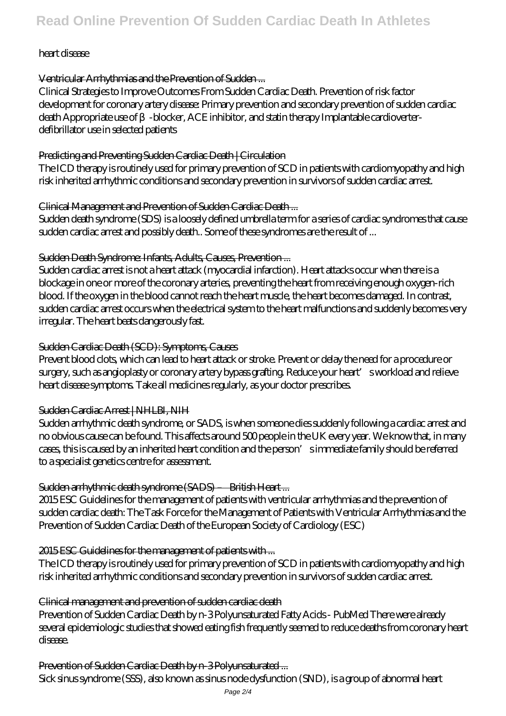## heart disease

## Ventricular Arrhythmias and the Prevention of Sudden ...

Clinical Strategies to Improve Outcomes From Sudden Cardiac Death. Prevention of risk factor development for coronary artery disease: Primary prevention and secondary prevention of sudden cardiac death Appropriate use of - blocker, ACE inhibitor, and statin therapy Implantable cardioverterdefibrillator use in selected patients

## Predicting and Preventing Sudden Cardiac Death | Circulation

The ICD therapy is routinely used for primary prevention of SCD in patients with cardiomyopathy and high risk inherited arrhythmic conditions and secondary prevention in survivors of sudden cardiac arrest.

## Clinical Management and Prevention of Sudden Cardiac Death ...

Sudden death syndrome (SDS) is a loosely defined umbrella term for a series of cardiac syndromes that cause sudden cardiac arrest and possibly death.. Some of these syndromes are the result of ...

## Sudden Death Syndrome: Infants, Adults, Causes, Prevention ...

Sudden cardiac arrest is not a heart attack (myocardial infarction). Heart attacks occur when there is a blockage in one or more of the coronary arteries, preventing the heart from receiving enough oxygen-rich blood. If the oxygen in the blood cannot reach the heart muscle, the heart becomes damaged. In contrast, sudden cardiac arrest occurs when the electrical system to the heart malfunctions and suddenly becomes very irregular. The heart beats dangerously fast.

## Sudden Cardiac Death (SCD): Symptoms, Causes

Prevent blood clots, which can lead to heart attack or stroke. Prevent or delay the need for a procedure or surgery, such as angioplasty or coronary artery bypass grafting. Reduce your heart' sworkload and relieve heart disease symptoms. Take all medicines regularly, as your doctor prescribes.

## Sudden Cardiac Arrest | NHLBI, NIH

Sudden arrhythmic death syndrome, or SADS, is when someone dies suddenly following a cardiac arrest and no obvious cause can be found. This affects around 500 people in the UK every year. We know that, in many cases, this is caused by an inherited heart condition and the person's immediate family should be referred to a specialist genetics centre for assessment.

## Sudden arrhythmic death syndrome (SADS) – British Heart ...

2015 ESC Guidelines for the management of patients with ventricular arrhythmias and the prevention of sudden cardiac death: The Task Force for the Management of Patients with Ventricular Arrhythmias and the Prevention of Sudden Cardiac Death of the European Society of Cardiology (ESC)

## 2015 ESC Guidelines for the management of patients with ...

The ICD therapy is routinely used for primary prevention of SCD in patients with cardiomyopathy and high risk inherited arrhythmic conditions and secondary prevention in survivors of sudden cardiac arrest.

## Clinical management and prevention of sudden cardiac death

Prevention of Sudden Cardiac Death by n-3 Polyunsaturated Fatty Acids - PubMed There were already several epidemiologic studies that showed eating fish frequently seemed to reduce deaths from coronary heart disease.

## Prevention of Sudden Cardiac Death by n-3 Polyunsaturated ...

Sick sinus syndrome (SSS), also known as sinus node dysfunction (SND), is a group of abnormal heart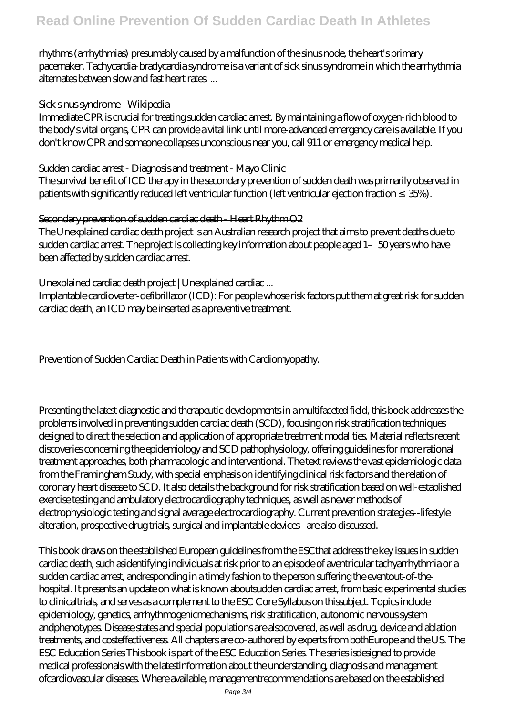rhythms (arrhythmias) presumably caused by a malfunction of the sinus node, the heart's primary pacemaker. Tachycardia-bradycardia syndrome is a variant of sick sinus syndrome in which the arrhythmia alternates between slow and fast heart rates. ...

#### Sick sinus syndrome - Wikipedia

Immediate CPR is crucial for treating sudden cardiac arrest. By maintaining a flow of oxygen-rich blood to the body's vital organs, CPR can provide a vital link until more-advanced emergency care is available. If you don't know CPR and someone collapses unconscious near you, call 911 or emergency medical help.

#### Sudden cardiac arrest - Diagnosis and treatment - Mayo Clinic

The survival benefit of ICD therapy in the secondary prevention of sudden death was primarily observed in patients with significantly reduced left ventricular function (left ventricular ejection fraction 35%).

#### Secondary prevention of sudden cardiac death - Heart Rhythm O2

The Unexplained cardiac death project is an Australian research project that aims to prevent deaths due to sudden cardiac arrest. The project is collecting key information about people aged 1-50 years who have been affected by sudden cardiac arrest.

#### Unexplained cardiac death project | Unexplained cardiac ...

Implantable cardioverter-defibrillator (ICD): For people whose risk factors put them at great risk for sudden cardiac death, an ICD may be inserted as a preventive treatment.

Prevention of Sudden Cardiac Death in Patients with Cardiomyopathy.

Presenting the latest diagnostic and therapeutic developments in a multifaceted field, this book addresses the problems involved in preventing sudden cardiac death (SCD), focusing on risk stratification techniques designed to direct the selection and application of appropriate treatment modalities. Material reflects recent discoveries concerning the epidemiology and SCD pathophysiology, offering guidelines for more rational treatment approaches, both pharmacologic and interventional. The text reviews the vast epidemiologic data from the Framingham Study, with special emphasis on identifying clinical risk factors and the relation of coronary heart disease to SCD. It also details the background for risk stratification based on well-established exercise testing and ambulatory electrocardiography techniques, as well as newer methods of electrophysiologic testing and signal average electrocardiography. Current prevention strategies--lifestyle alteration, prospective drug trials, surgical and implantable devices--are also discussed.

This book draws on the established European guidelines from the ESCthat address the key issues in sudden cardiac death, such asidentifying individuals at risk prior to an episode of aventricular tachyarrhythmia or a sudden cardiac arrest, andresponding in a timely fashion to the person suffering the eventout-of-thehospital. It presents an update on what is known aboutsudden cardiac arrest, from basic experimental studies to clinicaltrials, and serves as a complement to the ESC Core Syllabus on thissubject. Topics include epidemiology, genetics, arrhythmogenicmechanisms, risk stratification, autonomic nervous system andphenotypes. Disease states and special populations are alsocovered, as well as drug, device and ablation treatments, and costeffectiveness. All chapters are co-authored by experts from bothEurope and the US. The ESC Education Series This book is part of the ESC Education Series. The series isdesigned to provide medical professionals with the latestinformation about the understanding, diagnosis and management ofcardiovascular diseases. Where available, managementrecommendations are based on the established